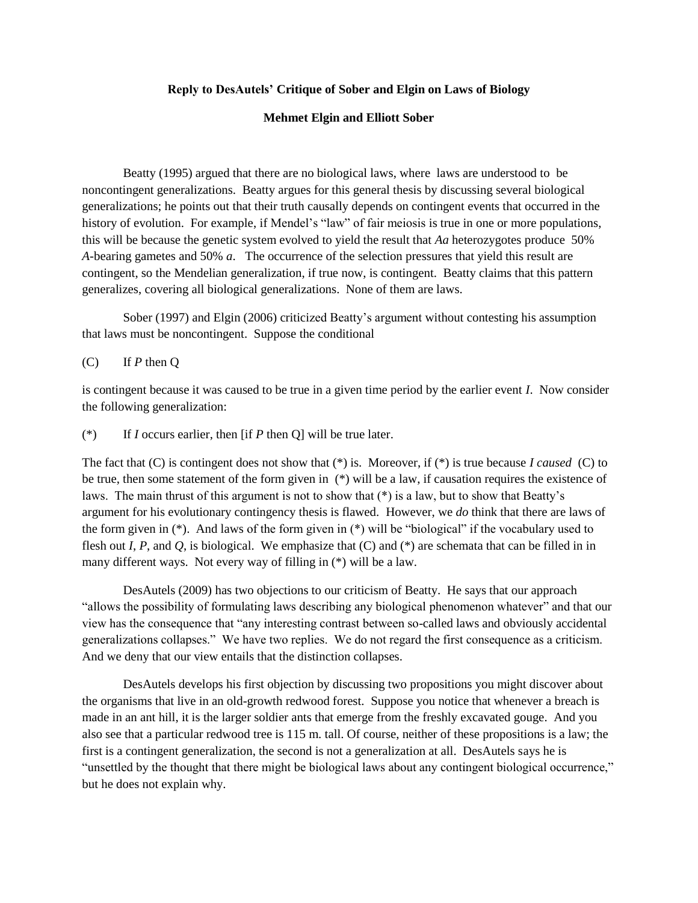## **Reply to DesAutels' Critique of Sober and Elgin on Laws of Biology**

## **Mehmet Elgin and Elliott Sober**

Beatty (1995) argued that there are no biological laws, where laws are understood to be noncontingent generalizations. Beatty argues for this general thesis by discussing several biological generalizations; he points out that their truth causally depends on contingent events that occurred in the history of evolution. For example, if Mendel's "law" of fair meiosis is true in one or more populations, this will be because the genetic system evolved to yield the result that *Aa* heterozygotes produce 50% *A-*bearing gametes and 50% *a*. The occurrence of the selection pressures that yield this result are contingent, so the Mendelian generalization, if true now, is contingent. Beatty claims that this pattern generalizes, covering all biological generalizations. None of them are laws.

Sober (1997) and Elgin (2006) criticized Beatty's argument without contesting his assumption that laws must be noncontingent. Suppose the conditional

(C) If *P* then Q

is contingent because it was caused to be true in a given time period by the earlier event *I*. Now consider the following generalization:

(\*) If *I* occurs earlier, then [if *P* then Q] will be true later.

The fact that (C) is contingent does not show that (\*) is. Moreover, if (\*) is true because *I caused* (C) to be true, then some statement of the form given in (\*) will be a law, if causation requires the existence of laws. The main thrust of this argument is not to show that (\*) is a law, but to show that Beatty's argument for his evolutionary contingency thesis is flawed. However, we *do* think that there are laws of the form given in (\*). And laws of the form given in (\*) will be "biological" if the vocabulary used to flesh out *I*, *P*, and *Q*, is biological. We emphasize that (C) and (\*) are schemata that can be filled in in many different ways. Not every way of filling in (\*) will be a law.

DesAutels (2009) has two objections to our criticism of Beatty. He says that our approach "allows the possibility of formulating laws describing any biological phenomenon whatever" and that our view has the consequence that "any interesting contrast between so-called laws and obviously accidental generalizations collapses." We have two replies. We do not regard the first consequence as a criticism. And we deny that our view entails that the distinction collapses.

DesAutels develops his first objection by discussing two propositions you might discover about the organisms that live in an old-growth redwood forest. Suppose you notice that whenever a breach is made in an ant hill, it is the larger soldier ants that emerge from the freshly excavated gouge. And you also see that a particular redwood tree is 115 m. tall. Of course, neither of these propositions is a law; the first is a contingent generalization, the second is not a generalization at all. DesAutels says he is "unsettled by the thought that there might be biological laws about any contingent biological occurrence," but he does not explain why.